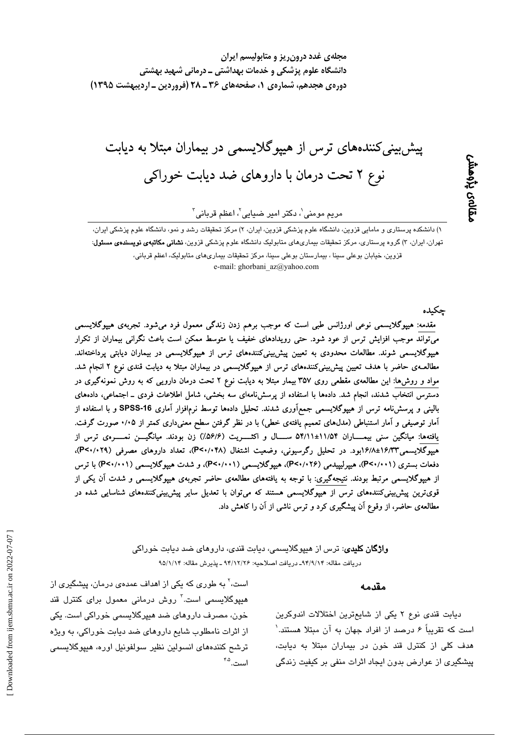مجلهی غدد درون ریز و متابولیسم ایران دانشگاه علوم پزشکی و خدمات بهداشتی ــ درمانی شهید بهشتی دورهی هجدهم، شمارهی ۱، صفحههای ۳۶ ـ ۲۸ (فروردین ـ اردیبهشت ۱۳۹۵)

پیش بینی کنندههای ترس از هیپوگلایسمی در بیماران مبتلا به دیابت نوع ۲ تحت درمان با داروهای ضد دیابت خوراکی

مریم مومنی`، دکتر امیر ضیایی`، اعظم قربانی<sup>۲</sup>

۱) دانشکده پرستاری و مامایی قزوین، دانشگاه علوم پزشکی قزوین، ایران، ۲) مرکز تحقیقات رشد و نمو، دانشگاه علوم پزشکی ایران، تهران، ایران، ۳) گروه پرستاری، مرکز تحقیقات بیماریهای متابولیک دانشگاه علوم پزشکی قزوین، **نشانی مکاتبهی نویسندهی مسئول**: قزوین، خیابان بوعلی سینا ، بیمارستان بوعلی سینا، مرکز تحقیقات بیماری۵لی متابولیک، اعظم قربانی، e-mail: ghorbani az@yahoo.com

ڃکىدە

بماله بإوهشر

مقدمه: هیپوگلایسمی نوعی اورژانس طبی است که موجب برهم زدن زندگی معمول فرد میشود. تجربهی هیپوگلایسمی میتواند موجب افزایش ترس از عود شود. حتی رویدادهای خفیف یا متوسط ممکن است باعث نگرانی بیماران از تکرار هیپوگلایسمی شوند. مطالعات محدودی به تعیین پیشبینیکنندههای ترس از هیپوگلایسمی در بیماران دیابتی پرداختهاند. مطالعـهی حاضر با هدف تعیین پیشبینیکنندههای ترس از هیپوگلایسمی در بیماران مبتلا به دیابت قندی نوع ۲ انجام شد. مواد و روش۵ا: این مطالعهی مقطعی روی ۳۵۷ بیمار مبتلا به دیابت نوع ۲ تحت درمان دارویی که به روش نمونهگیری در دسترس انتخاب شدند، انجام شد. دادهها با استفاده از پرسشنامهای سه بخشی، شامل اطلاعات فردی ــ اجتماعی، دادههای بالینی و پرسشنامه ترس از هیپوگلایسمی جمعآوری شدند. تحلیل دادهها توسط نرمافزار آماری SPSS-16 و با استفاده از آمار توصیفی و آمار استنباطی (مدل۵های تعمیم یافتهی خطی) با در نظر گرفتن سطح معنیداری کمتر از ۰/۰۵ صورت گرفت. یافتهها: میانگین سنی بیمــــاران ۵۴/۱۱±۵۴/۱۱ ســــال و اکثــــــریت (۵۶/۶٪) زن بودند. میانگیــــن نمـــــرهی ترس از هیپوگلایسمی۱۶/۱۳/شد/۱۶/۱بود. در تحلیل رگرسیونی، وضعیت اشتغال (P<۰/۰۴۸)، تعداد داروهای مصرفی (P<۰/۰۲۹)، دفعات بستری (P<۰/۰۰۱)، هیپرلیپیدمی (P<۰/۰۲۶)، هیپوگلایسمی (P<۰/۰۰۱)، و شدت هیپوگلایسمی (P<۰/۰۰۱) با ترس از هیپوگلایسمی مرتبط بودند. نتیجهگیری: با توجه به یافتههای مطالعهی حاضر تجربهی هیپوگلایسمی و شدت آن یکی از قویترین پیشبینیکنندههای ترس از هیپوگلایسمی هستند که میتوان با تعدیل سایر پیشبییکنندههای شناسایی شده در مطالعهی حاضر، از وقوع آن پیشگیری کرد و ترس ناشی از آن را کاهش داد.

> **واژگان کلیدی**: ترس از هیپوگلایسمی، دیابت قندی، داروهای ضد دیابت خوراکی دريافت مقاله: ٩٤/٩/١٣\_ دريافت اصلاحيه: ٩٤/١٢/٢٤ ـ يذيرش مقاله: ٩٥/١/١۴

> > است. ۴٬۵

#### مقدمه

دیابت قندی نوع ۲ یکی از شایعترین اختلالات اندوکرین است که تقریباً ۶ درصد از افراد جهان به آن مبتلا هستند.' هدف کلی از کنترل قند خون در بیماران مبتلا به دیابت، پیشگیری از عوارض بدون ایجاد اثرات منفی بر کیفیت زندگی

است،' به طوری که یکی از اهداف عمدهی درمان، پیشگیری از هیپوگلایسمی است.<sup>۳</sup> روش درمانی معمول برای کنترل قند خون، مصرف داروهای ضد هیپرگلایسمی خوراکی است. یکی از اثرات نامطلوب شایع داروهای ضد دیابت خوراکی، به ویژه ترشح كنندههاى انسولين نظير سولفونيل اوره، هييوگلايسمى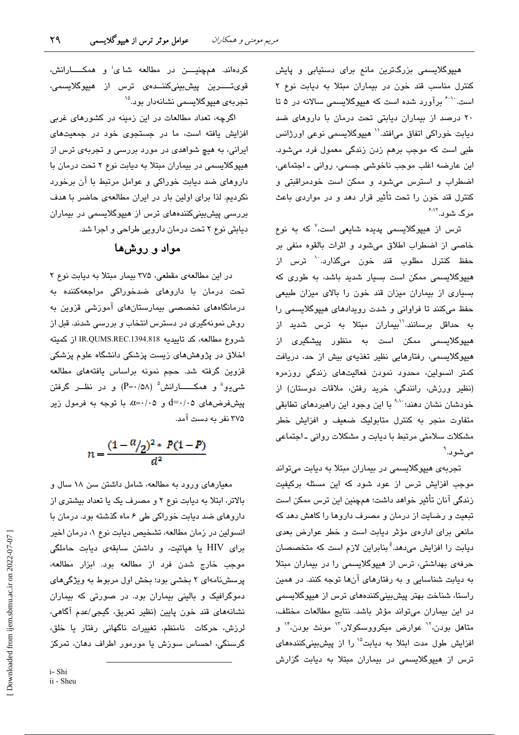هیپوگلایسمی بزرگترین مانع برای دستیابی و پایش کنترل مناسب قند خون در بیماران مبتلا به دیابت نوع ۲ است. `` برآورد شده است که هیپوگلایسمی سالانه در ۵ تا ٢٠ درصد از بيماران ديابتى تحت درمان با داروهاى ضد ديابت خوراكي اتفاق مي|فتد.'' هيپوگلايسمي نوعي اورژانس طبی است که موجب برهم زدن زندگی معمول فرد میشود. این عارضه اغلب موجب ناخوشی جسمی، روانی ـ اجتماعی، اضطراب و استرس میشود و ممکن است خودمراقبتی و کنترل قند خون را تحت تأثیر قرار دهد و در مواردی باعث مرگ شو د.<sup>۶٬۱۲</sup>

ترس از هیپوگلایسمی پدیده شایعی است،<sup>۷</sup> که به نوع خاصی از اضطراب اطلاق می شود و اثرات بالقوه منفی بر حفظ کنترل مطلوب قند خون می،گذارد.<sup>۱۰</sup> ترس از هیپوگلایسمی ممکن است بسیار شدید باشد، به طوری که بسیاری از بیماران میزان قند خون را بالای میزان طبیعی حفظ میکنند تا فراوانی و شدت رویدادهای هیپوگلایسمی را به حداقل برسانند.<sup>\'</sup>بیماران مبتلا به ترس شدید از هدیوگلانسم*ی* ممکن است به منظور پیشگیری از هیپوگلایسمی، رفتارهایی نظیر تغذیهی بیش از حد، دریافت کمتر انسولین، محدود نمودن فعالیتهای زندگی روزمره (نظیر ورزش، رانندگی، خرید رفتن، ملاقات دوستان) از خودشان نشان دهند؛ ``` با این وجود این راهبردهای تطابقی متفاوت منجر به کنترل متابولیک ضعیف و افزایش خطر مشكلات سلامتى مرتبط با ديابت و مشكلات روانى ـ اجتماعى مے شود. ٗ

تجربهی هیپوگلایسمی در بیماران مبتلا به دیابت میتواند موجب افزایش ترس از عود شود که این مسئله برکیفیت زندگی آنان تأثیر خواهد داشت؛ همچنین این ترس ممکن است تبعیت و رضایت از درمان و مصرف داروها را کاهش دهد که مانعی برای ادارهی مؤثر دیابت است و خطر عوارض بعدی دیابت را افزایش میدهد.<sup>۵</sup> بنابراین لازم است که متخصصان حرفهی بهداشتی، ترس از هیپوگلایسمی را در بیماران مبتلا به دیابت شناسایی و به رفتارهای آنها توجه کنند. در همین راستا، شناخت بهتر پیشبینیکنندههای ترس از هیپوگلایسمی در این بیماران میتواند مؤثر باشد. نتایج مطالعات مختلف، متاهل بودن،<sup>۱۲</sup> عوارض میکرووسکولار،<sup>۱۲</sup> مونث بودن،<sup>۱۴</sup> و افزایش طول مدت ابتلا به دیابت<sup>۱۵</sup> را از پیش بینی کنندههای ترس از هیپوگلایسمی در بیماران مبتلا به دیابت گزارش

کردهاند. همچنیـــــن در مطالعه شای<sup>:</sup> و همکــــــارانش، قوىتــــــرين پيشېينىكننـــدەى ترس از ھيپوگلايسمى، تجریهی هیپوگلایسمی نشانهدار بود.<sup>۱۵</sup>

اگرچه، تعداد مطالعات در این زمینه در کشورهای غربی افزایش یافته است، ما در جستجوی خود در جمعیتهای ایرانی، به هیچ شواهدی در مورد بررسی و تجربهی ترس از هیپوگلایسمی در بیماران مبتلا به دیابت نوع ۲ تحت درمان با داروهای ضد دیابت خوراکی و عوامل مرتبط با آن برخورد نکردیم. لذا برای اولین بار در ایران مطالعهی حاضر با هدف بررسی پیشبینیکنندههای ترس از هیپوگلایسمی در بیماران دیابتی نوع ۲ تحت درمان دارویی طراحی و اجرا شد.

## مواد و روشها

در این مطالعهی مقطعی، ٣٧۵ بیمار مبتلا به دیابت نوع ٢ تحت درمان با داروهای ضدخوراکی مراجعهکننده به درمانگاههای تخصصی بیمارستانهای آموزشی قزوین به روش نمونهگیری در دسترس انتخاب و بررسی شدند. قبل از شروع مطالعه، كد تاييديه IR.QUMS.REC.1394.818 از كميته اخلاق در پژوهش های زیست پزشکی دانشگاه علوم پزشکی قزوین گرفته شد. حجم نمونه براساس یافتههای مطالعه شمی یو" و همکــــــارانش° (P=۰/۵۸) و در نظـــر گرفتن  $d = \cdot / \cdot 2$  و ۵ $\cdot / \cdot - \alpha = \alpha$ . با توجه به فرمول زیر ۳۷۵ نفر به دست آمد.

 $n = \frac{(1 - \alpha / 2)^2 * P(1 - P)}{d^2}$ 

معیارهای ورود به مطالعه، شامل داشتن سن ۱۸ سال و بالاتر، ابتلا به دیابت نوع ۲ و مصرف یک یا تعداد بیشتری از داروهای ضد دیابت خوراکی طی ۶ ماه گذشته بود. درمان با انسولین در زمان مطالعه، تشخیص دیابت نوع ۱، درمان اخیر برای HIV یا هپاتیت، و داشتن سابقهی دیابت حاملگی موجب خارج شدن فرد از مطالعه بود. ابزار مطالعه، پرسشنامهای ۲ بخشی بود؛ بخش اول مربوط به ویژگیهای دموگرافیک و بالینی بیماران بود. در صورتی که بیماران نشانههای قند خون پایین (نظیر تعریق، گیجی/عدم آگاهی، لرزش، حركات نامنظم، تغييرات ناگهانی رفتار يا خلق، گرسنگی، احساس سوزش یا مورمور اطراف دهان، تمرکز

i-Shi

ii - Sheu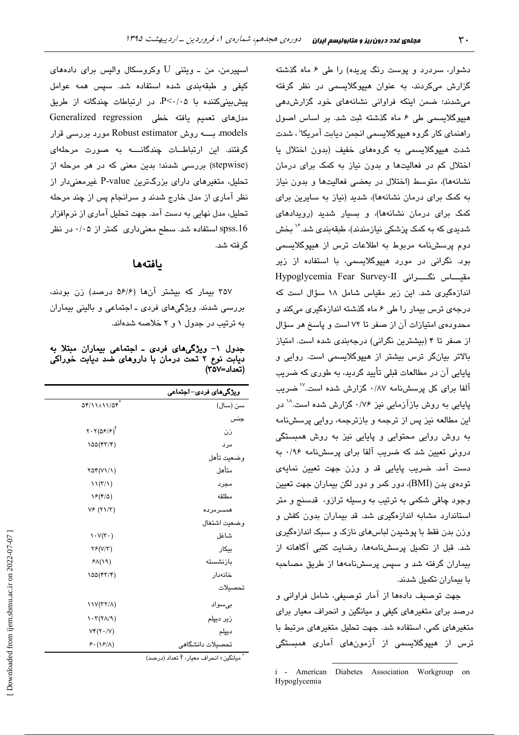دشوار، سردرد و پوست رنگ پریده) را طی ۶ ماه گذشته گزارش میکردند، به عنوان هیپوگلایسمی در نظر گرفته می شدند؛ ضمن اینکه فراوانی نشانههای خود گزارش دهی هیپوگلایسمی طی ۶ ماه گذشته ثبت شد. بر اساس اصول راهنما*ی* کار گروه هیپوگلایسمی انجمن دیابت آمریکا<sup>ن</sup> ، شدت شدت هىيوگلاسىمى په گروههاى خفىف (پدون اختلال پا اختلال کم در فعالیتها و بدون نیاز به کمک برای درمان نشانهها)، متوسط (اختلال در بعضی فعالیتها و بدون نیاز به کمک برای درمان نشانهها)، شدید (نیاز به سایرین برای کمک برای درمان نشانهها)، و بسیار شدید (رویدادهای شدیدی که به کمک پزشکی نیازمندند)، طبقهبندی شد.<sup>۱۶</sup> بخش دوح پرسشنامه مربوط به اطلاعات ترس از هیپوگلاسیمی بود. نگرانی در مورد هیپوگلایسمی، با استفاده از زیر مقيــاس نگــــرانى Hypoglycemia Fear Survey-II اندازهگیری شد. این زیر مقیاس شامل ۱۸ سؤال است که درجهی ترس بیمار را طی ۶ ماه گذشته اندازهگیری میکند و محدودهی امتیازات آن از صفر تا ۷۲ است و پاسخ هر سؤال از صفر تا ۴ (بیشترین نگرانی) درجهبندی شده است. امتیاز بالاتر بیانگر ترس بیشتر از هیپوگلایسمی است. روایی و پایایی آن در مطالعات قبلی تأیید گردید، به طوری که ضریب آلفا برای کل پرسشنامه ۰/۸۷ گزارش شده است.<sup>۱۷</sup> ضریب پایایی به روش بازآزمایی نیز ۰/۷۶ گزارش شده است.<sup>۱۸</sup> در این مطالعه نیز پس از ترجمه و بازترجمه، روایی پرسشنامه به روش روایی محتوایی و پایایی نیز به روش همبستگی درونی تعیین شد که ضریب آلفا برای پرسشنامه ۰/۹۶ به دست آمد. ضريب پايايي قد و وزن جهت تعيين نمايه*ي* تودهی بدن (BMI)، دور کمر و دور لگن بیماران جهت تعیین وجود چاقی شکمی به ترتیب به وسیله ترازو، قدسنج و متر استاندارد مشابه اندازهگیری شد. قد بیماران بدون کفش و وزن بدن فقط با پوشیدن لباسهای نازک و سبک اندازهگیری شد. قبل از تکمیل پرسشنامهها، رضایت کتبی آگاهانه از بیماران گرفته شد و سپس پرسشنامهها از طریق مصاحبه با بیماران تکمیل شدند.

جهت توصيف دادهها از آمار توصيفي، شامل فراواني و درصد برای متغیرهای کیفی و میانگین و انحراف معیار برای متغیرهای کمی، استفاده شد. جهت تحلیل متغیرهای مرتبط با ترس از هیپوگلایسمی از آزمونهای آماری همبستگی

اسپیرمن، من ــ ویتنی  ${\rm U}$  وکروسکال والیس برای دادههای كيفى و طبقهبندى شده استفاده شد. سپس همه عوامل  $P<\cdot/$ ۰۵ یش سنی کننده با  $P<\cdot/$ ۰۵ در ارتباطات چندگانه از طریق مدل های تعمیم یافته خطی Generalized regression models، بــــــه روش Robust estimator مورد بررسی قرار گرفتند. این ارتباطــات چندگانــــه به صورت مرحلهای (stepwise) بررسی شدند؛ بدین معنی که در هر مرحله از تحلیل، متغیرهای دارای بزرگترین P-value غیرمعنیدار از نظر آماری از مدل خارج شدند و سرانجام پس از چند مرحله تحلیل، مدل نهایی به دست آمد. جهت تحلیل آماری از نرمافزار spss.16 استفاده شد. سطح معنی داری کمتر از ۰/۰۵ در نظر گر فته شد.

### بافتهما

۳۵۷ بیمار که بیشتر آنها (۵۶/۶ درصد) زن بودند، بررسی شدند. ویژگیهای فردی ـ اجتماعی و بالینی بیماران به ترتیب در جدول ۱ و ۲ خلاصه شدهاند.

جدول ١- ویژگیهای فردی ـ اجتماعی بیماران مبتلا به دیابت نوع ۲ تحت درمان با داروهای ضد دیابت خوراکی (تعداد=۲۵۷)

|                                                       | ویژگیهای فردی–اجتماعی |
|-------------------------------------------------------|-----------------------|
| $\Delta f/\Delta t$ + $\Delta f$                      | سن (سال)              |
|                                                       | جنس                   |
| $Y \cdot Y(\Delta \mathcal{F}/\mathcal{F})^{\dagger}$ | ذن                    |
| ۱۵۵ (۴۳/۴)                                            | مرد                   |
|                                                       | وضعيت تأهل            |
| $\text{var}(V\setminus V)$                            | متأهل                 |
| $\mathcal{N}(\mathcal{K}/\mathcal{N})$                | مجرد                  |
| $\mathcal{S}(\mathfrak{k}/\mathfrak{0})$              | مطلقه                 |
| $V$ ۶ $(Y \setminus Y)$                               | همسرمرده              |
|                                                       | وضعت اشتغال           |
| $\mathcal{N}(\mathcal{F}^{\mathcal{C}})$              | شاغل                  |
| YF(Y Y)                                               | بيكار                 |
| $P\Lambda(19)$                                        | بازنشسته              |
| ۱۵۵ (۴۳/۴)                                            | خانەدار               |
|                                                       | تحصيلات               |
| $11V(TY/\Lambda)$                                     | بىسواد                |
| $\mathcal{N}(\mathcal{V}\wedge\mathcal{V})$           | زير ديپلم             |
| $Vf(Y \cdot  V)$                                      | ديپلم                 |
| $F \cdot (1) / \Lambda$                               | تحصيلات دانشگاهي      |

\* مبانگر :± انحراف معيار، † تعداد (درصد)

i - American Diabetes Association Workgroup on Hypoglycemia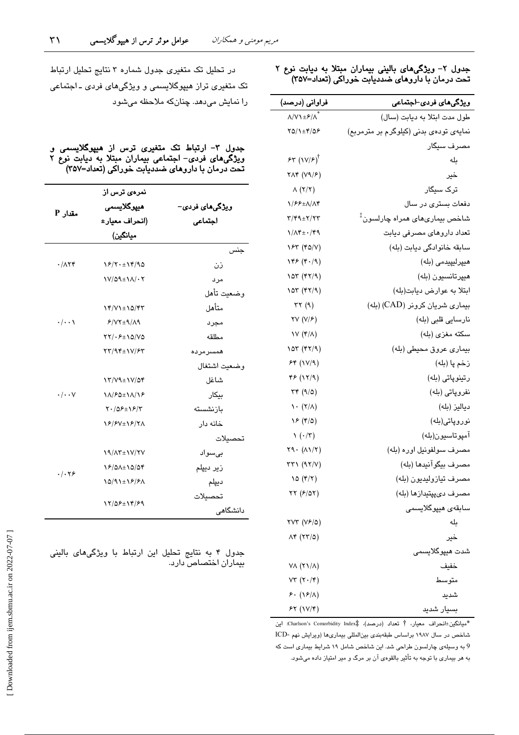#### جدول ۲– ویژگیهای بالینی بیماران مبتلا به دیابت نوع ۲ تحت درمان با داروهای ضددیابت خوراکی (تعداد=۳۵۷)

| فراوانی (درصد)                        | ویژگیها <i>ی</i> فرد <i>ی</i> ⊣جتماعی              |
|---------------------------------------|----------------------------------------------------|
| $\lambda/V$ + $\lambda$ <sup>2</sup>  | طول مدت ابتلا به ديابت (سال)                       |
| $YQ/\lambda \pm Y/\Delta P$           | نمایهی تودهی بدنی (کیلوگرم بر مترمربع)             |
|                                       | مصرف سیگار                                         |
| 55 (10)                               | بله                                                |
| $Y\Lambda f$ $(Y\Lambda/\mathcal{F})$ | خير                                                |
| $\Lambda$ (۲/۲)                       | ترک سیگار                                          |
| 1/66±8/84                             | دفعات بستری در سال                                 |
| 3/49±7/73                             | شاخص بيمارى <i>ه</i> اى همراه چارلسون <sup>‡</sup> |
| 1/14±0149                             | تعداد داروهای مصرفی دیابت                          |
| 185 (FQ/V)                            | سابقه خانوادگی دیابت (بله)                         |
| $\sqrt{2}$ (۴۰/۹)                     | هيپرليپيدمى (بله)                                  |
| $\sqrt{2}$ (۴۲/۹)                     | هيپرتانسيون (بله)                                  |
| $\sqrt{2}$ (۴۲/۹)                     | ابتلا به عوارض ديابت(بله)                          |
| $\tau\tau$ (9)                        | بیماری شریان کرونر (CAD) (بله)                     |
| $\forall V (V/F)$                     | نارسایی قلبی (بله)                                 |
| $V(r/\Lambda)$                        | سكته مغزى (بله)                                    |
| 105 (۴۲/۹)                            | بيماري عروق محيطي (بله)                            |
| 56 (11/9)                             | زخم پا (بله)                                       |
| 45 (17/9)                             | رتينوپاتي (بله)                                    |
| $\tau \tau$ (9/0)                     | نفروپاتی (بله)                                     |
| $\lambda \cdot (\tau/\lambda)$        | دياليز (بله)                                       |
| $YF(\mathfrak{r}/\mathfrak{0})$       | نوروپاتی(بله)                                      |
| $\left(\cdot/\tau\right)$             | آمپوتاسيون(بله)                                    |
| $Y9.(\Lambda)/Y)$                     | مصرف سولفونيل اوره (بله)                           |
| $rr\gamma$ (9 $\gamma/\gamma$ )       | مصرف بيگوآنيدها (بله)                              |
| 10 (f/T)                              | مصرف تيازوليديون (بله)                             |
| $\tau\tau$ ( $\epsilon$ /۵۲)          | مصرف دىپپتيدازها (بله)                             |
|                                       | سابقە <i>ى</i> ھيپوگلايسى <i>م</i> ،               |
| $YVT(YF/\Delta)$                      | ىلە                                                |
| $\Lambda$ ۴ (۲۳/۵)                    | خير                                                |
|                                       | شدت ھيپوگلايسمے،                                   |
| VA (۲۱/۸)                             | خفيف                                               |
| $VT (Y \cdot / \mathfrak{r})$         | متوسط                                              |
| $5. (18/\lambda)$                     | شدید                                               |
| $55 (10/\tau)$                        | بسیار شدید                                         |

\*ميانگين±انحراف معيار، † تعداد (درصد)، #Charlson's Comorbidity Index: اين شاخص در سال ۱۹۸۷ براساس طبقهبندی بینالمللی بیماریها (ویرایش نهم -ICD 9 به وسیلهی چارلسون طراحی شد. این شاخص شامل ۱۹ شرایط بیماری است که به هر بیماری با توجه به تأثیر بالقومی ان بر مرگ و میر امتیاز داده میشود.

در تحلیل تک متغیری جدول شماره ۳ نتایج تحلیل ارتباط تک متغیری تراز هیپوگلایسمی و ویژگیهای فردی ـ اجتماعی را نمایش میدهد. چنانکه ملاحظه میشود

جدول ۳– ارتباط تک متغیری ترس از هیپوگلایسمی و ویژگیهای فردی– اجتماعی بیماران مبتلا به دیابت نوع ۲ تحت درمان با داروهای ضددیابت خوراکی (تعداد=۳۵۷)

|                           | نمرە <i>ئ</i> ترس از                        |                         |  |  |
|---------------------------|---------------------------------------------|-------------------------|--|--|
| A مقدار                   | ميپوگلايسمى                                 | ویژگی <b>م</b> ای فردی– |  |  |
|                           | (انحراف معيار±                              | اجتماعى                 |  |  |
|                           | ميانگين)                                    |                         |  |  |
|                           |                                             | جنس                     |  |  |
| $\cdot/\Lambda$ ٢۴        | 18/7.119/90                                 | ذن                      |  |  |
|                           | $V/\Omega$ 9± $M/\cdot$                     | مرد                     |  |  |
|                           |                                             | وضعيت تأهل              |  |  |
|                           | 14/71±10/47                                 | متأهل                   |  |  |
| $\cdot/\cdot\cdot$        | $P/VT+q/\Lambda q$                          | مجرد                    |  |  |
|                           | $\Upsilon\Upsilon/\cdot\mathcal{F}$ + 10/V0 | مطلقه                   |  |  |
|                           | $\tau\tau/9$ ۴±1 $V/F$                      | همسرمرده                |  |  |
|                           |                                             | وضعيت اشتغال            |  |  |
|                           | 13/19±11/04                                 | شاغل                    |  |  |
| $\cdot/\cdot\cdot$ $\vee$ | 11/80±11/18                                 | بيكار                   |  |  |
|                           | $Y \cdot (\Delta F \pm Y)$                  | بازنشسته                |  |  |
|                           | 18/8V±18/71                                 | خانه دار                |  |  |
|                           |                                             | تحصيلات                 |  |  |
|                           | 19/17±1V/7V                                 | بىسواد                  |  |  |
|                           | 18/01±10/04                                 | زیر دیپلم               |  |  |
| $.  . \nabla$             | 10/91±16/61                                 | ديپلم                   |  |  |
|                           | 17/08±14/89                                 | تحصيلات                 |  |  |
|                           |                                             | دانشگاهی                |  |  |

جدول ۴ به نتایج تحلیل این ارتباط با ویژگیهای بالینی بیماران اختصاص دارد.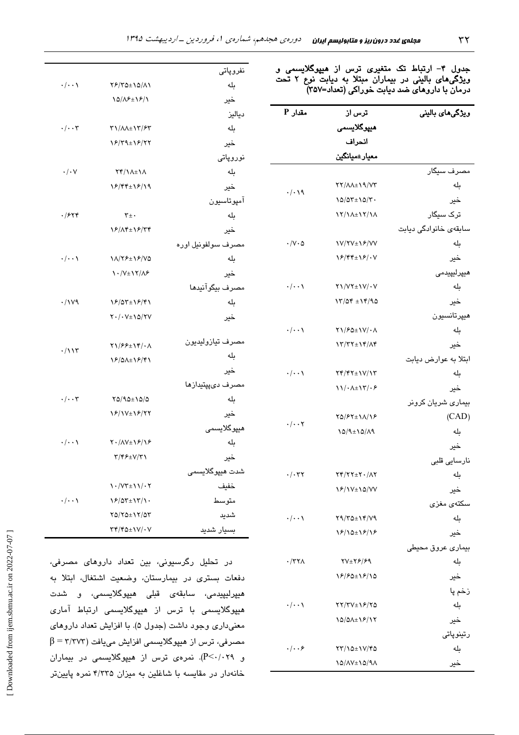| جدول ۴- ارتباط تک متغیری ترس از هیپوگلایسمی و<br>ویژگیهای بالینی در بیماران مبتلا به دیابت نوع ۲ تحت<br>درمان با داروهای ضد دیابت خوراکی (تعداد=۳۵۷) |                                                                      |                                   | نفروپاتی<br>بله                              | ۵/۸۱                       |
|------------------------------------------------------------------------------------------------------------------------------------------------------|----------------------------------------------------------------------|-----------------------------------|----------------------------------------------|----------------------------|
| وپڑگیمای بالینی                                                                                                                                      | ترس از                                                               | مقدار P                           | خیر                                          | ۱۶/۱                       |
|                                                                                                                                                      | ھیپرگلای <i>سمی</i>                                                  |                                   | دياليز                                       |                            |
|                                                                                                                                                      | انحراف                                                               |                                   | بله                                          | ۳/۶۳                       |
|                                                                                                                                                      | معيار±ميانگين                                                        |                                   | خیر                                          | ۶/۲۲                       |
|                                                                                                                                                      |                                                                      |                                   | نوروپاتی                                     |                            |
| مصرف سیگار                                                                                                                                           |                                                                      |                                   | بله                                          | ۱۸                         |
| بله                                                                                                                                                  | YY/AA± \ 9/V٣                                                        | $\cdot/\cdot\setminus\mathcal{A}$ | خیر                                          | ۶/۱۹                       |
| خير                                                                                                                                                  | $10/07 \pm 10/7$ .                                                   |                                   | آمپوتاسيون                                   |                            |
| ترک سیگار                                                                                                                                            | 17/1A±17/1A                                                          |                                   | بله                                          |                            |
| سابقەي خانوادگى ديابت                                                                                                                                |                                                                      |                                   | خیر                                          | ۶/۳۴                       |
| بله                                                                                                                                                  | <b>IV/YV±IF/VV</b>                                                   | $\cdot/\vee\cdot\vartriangle$     | مصرف سولفونيل اوره                           |                            |
| خير                                                                                                                                                  | 18/44±18/.V                                                          |                                   | بله                                          | ۶/۷۵                       |
| ميپرليپيدمى                                                                                                                                          |                                                                      |                                   | خیر                                          | ۱۸۶                        |
| بله                                                                                                                                                  | $\Upsilon\Upsilon/\Upsilon\Upsilon\pm\Upsilon\Upsilon/\cdot\Upsilon$ | $\cdot/\cdot\cdot$                | مصرف بيگوآنيدها                              |                            |
| خير                                                                                                                                                  | $17/09 \pm 19/90$                                                    |                                   | بله                                          | ۶/۴۱                       |
| ميپرتانسيون                                                                                                                                          |                                                                      |                                   | خیر                                          | 5/۲V                       |
| بله                                                                                                                                                  | $Y1/F0 \pm 1V/\cdot \Lambda$                                         | $\cdot/\cdot\cdot$                |                                              |                            |
| خیر                                                                                                                                                  | $\Upsilon/\Upsilon\Upsilon\pm\Upsilon/\Lambda\Upsilon$               |                                   | مصرف تيازوليديون                             | $\mathbf{f}/\cdot \Lambda$ |
| ابتلا به عوارض ديابت                                                                                                                                 |                                                                      |                                   | بله                                          | ۶/۴۱                       |
| بله                                                                                                                                                  | $Yf/FY \pm 1V/1Y$                                                    | $\cdot/\cdot\cdot$                | خیر                                          |                            |
| خير                                                                                                                                                  | $\frac{1}{\sqrt{\cdot \frac{1}{\sqrt{\cdot \cdot \cdot} \cdot}}$     |                                   | مصرف دیپپتیدازها                             |                            |
| بیماری شریان کرونر                                                                                                                                   |                                                                      |                                   | بله                                          | ۵/۵                        |
| (CAD)                                                                                                                                                | $YQ/FY \pm YA/Y$                                                     | $\cdot/\cdot\cdot$ $\mathsf{Y}$   | خیر                                          | ۶/۲۲                       |
| بله                                                                                                                                                  | $10/9 \pm 10/19$                                                     |                                   | ھيپوگلاي <i>سمى</i>                          |                            |
| خير                                                                                                                                                  |                                                                      |                                   | بله                                          | ۶/۱۶                       |
| نارسایی قلبی                                                                                                                                         |                                                                      |                                   | خير                                          | /۳۱                        |
| بله                                                                                                                                                  | $YY/YY\pm Y. / \Lambda Y$                                            | $\cdot/\cdot$ ۳۲                  | شدت ھیپوگلایسمی                              |                            |
| خير                                                                                                                                                  | 18/1V±10/VV                                                          |                                   | خفيف                                         | $1/\cdot 7$                |
| سكتەي مغزى                                                                                                                                           |                                                                      |                                   | متوسط                                        | $\mathsf{r}/\mathsf{v}$ .  |
| بله                                                                                                                                                  | $Y9/Y0 \pm YY/V9$                                                    | $\cdot/\cdot\cdot$                | شديد                                         | ۲/۵۳                       |
| خير                                                                                                                                                  | 18/10±18/18                                                          |                                   | بسيار شديد                                   | $V/\cdot V$                |
| بيماري عروق محيطي                                                                                                                                    |                                                                      |                                   |                                              |                            |
| بله                                                                                                                                                  | $\Upsilon V \pm \Upsilon \mathcal{F}/\mathcal{F} \mathcal{A}$        | $\cdot$ /٣٢٨                      | در تحلیل رگرسیون <i>ی،</i> بی <i>ن</i>       |                            |
| خير                                                                                                                                                  | $18/80 \pm 18/10$                                                    |                                   | دفعات بستری در بیمارستان،                    |                            |
| زخم پا                                                                                                                                               |                                                                      |                                   | ھيپرليپيدمى، سابقەي قبلى                     |                            |
| بله                                                                                                                                                  | $YY/7V\pm19/70$                                                      | $\cdot/\cdot\cdot$                | ھیپوگلایسم <i>ی</i> با ترس از ھی <u>پ</u>    |                            |
| خير                                                                                                                                                  | 10/01±18/17                                                          |                                   | معنیداری وجود داشت (جدول ۵                   |                            |
| رتينوپاتى                                                                                                                                            |                                                                      |                                   |                                              |                            |
| بله                                                                                                                                                  | $\frac{1}{2}$                                                        | $\cdot/\cdot\cdot$ ۶              | مصرف <i>ی،</i> ترس از هیپوگلایسم <i>ی</i> اه |                            |
| خير                                                                                                                                                  | 10/1V±10/91                                                          |                                   | و P<۰/۰۲۹). نمرهی ترس از                     |                            |

| $\cdot/\cdot\cdot$       | 86/30±10/11                                                           | بله                 |
|--------------------------|-----------------------------------------------------------------------|---------------------|
|                          | 10/18±18/1                                                            | خیر                 |
|                          |                                                                       | دياليز              |
| $\cdot$ / $\cdot$ $\tau$ | <b>٣١/٨٨±١٣/۶٣</b>                                                    | بله                 |
|                          | 18/٣٩±18/٢٢                                                           | خیر                 |
|                          |                                                                       | نوروپاتی            |
| $\cdot/\cdot$ $\vee$     | <b>TY/11±11</b>                                                       | بله                 |
|                          | 18/44±18/19                                                           | خیر                 |
|                          |                                                                       | آمپوتاسيون          |
| ۰/۶۲۴                    | $\mathbf{r}_\pm$ .                                                    | بله                 |
|                          | 18/14±18/74                                                           | خبر                 |
|                          |                                                                       | مصرف سولفونيل أوره  |
| ۰/۰۰۱                    | 11/78±18/VQ                                                           | بله                 |
|                          | 1./V±1٢/٨۶                                                            | خير                 |
|                          |                                                                       | مصرف بيگوآنيدها     |
| ۰/۱۷۹                    | 18/02±18/41                                                           | بله                 |
|                          | $Y \cdot / \cdot V \pm 10/YV$                                         | خير                 |
|                          | 21/66±14/08                                                           | مصرف تيازوليديون    |
| ۰/۱۱۳                    | 18/01±18/41                                                           | بله                 |
|                          |                                                                       | خبر                 |
|                          |                                                                       | مصرف دیپپتیدازها    |
| $\cdot/\cdot\cdot$ ۳     | $\verb YQ  \verb QQ+ \verb Q Q $                                      | بله                 |
|                          | 18/1V±18/77                                                           | خير                 |
|                          |                                                                       | ھيپرگلايسم <i>ى</i> |
| $\cdot/\cdot\cdot$       | $Y \cdot / \Lambda V \pm \Lambda F / \Lambda F$                       | بله                 |
|                          | $\Upsilon/\Upsilon$ ۶± $V/\Upsilon$                                   | خیر                 |
|                          |                                                                       | شدت ھيپوگلايسمى     |
|                          | 1 . /V۳±11/07                                                         | خفيف                |
| ۰/۰۰۱                    | 18/02±12/1.                                                           | متوسط               |
|                          | $YQ/YQ \pm YYQY$                                                      | شديد                |
|                          | $\Upsilon \Upsilon / \Upsilon \Delta \pm \Upsilon \Upsilon / \cdot V$ | بسيار شديد          |

تعداد داروهای مصرفی، وضعيت اشتغال، ابتلا به ھیپوگلایسمی، و شدت وگلایسمی ارتباط آمار*ی* <sup>)</sup>). با افزایش تعداد داروهای  $\beta = \mathsf{r}/\mathsf{r}$ نزایش مییافت ( هیپوگلایسمی در بیماران خانهدار در مقایسه با شاغلین به میزان ۴/۳۳۵ نمره پایینتر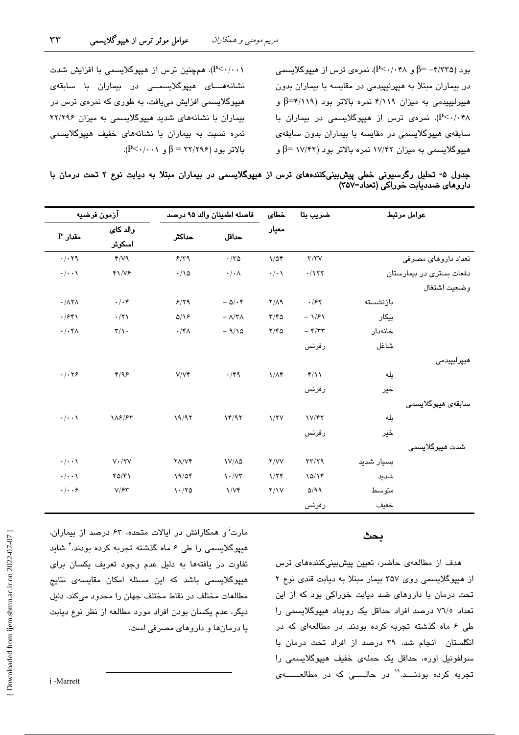بود (۴/۳۳۵– $\beta$ و ۲۰/۰۴۸). نمرهی ترس از هیپوگلایسمی در بیماران مبتلا به هیپرلیپیدمی در مقایسه با بیماران بدون هیپرلیپیدمی به میزان ۴/۱۱۹ نمره بالاتر بود (۴/۱۱۹=β و P<۰/۰۴۸). نمرهی ترس از هیپوگلایسمی در بیماران با سابقەی ھېيوگلايسىمى در مقايسە با بېماران بدون سابقەی هنیوگلاسیمی به میزان ۱۷/۴۲ نمره بالاتر بود (۱۷/۴۲ =β و

(P<۰/۰۰۱). همچنین ترس از هیپوگلایسمی با افزایش شدت نشانەھــاى ھىيوگلايسىمــى در بيماران با سابقەي هنیوگلانسمی افزایش می بافت، به طوری که نمرهی ترس در بیماران با نشانههای شدید هیپوگلایسمی به میزان ۲۲/۲۹۶ نمره نسبت به بیماران با نشانههای خفیف هیپوگلایسمی  $\beta$ - $\beta$  - $\gamma$ ۲۲ =  $\beta$  و ۲۲/۲۹۶).

 $\tau\tau$ 

| جدول ۵- تحلیل رگرسیونی خطی پیشبینیکنندههای ترس از هیپوگلایسمی در بیماران مبتلا به دیابت نوع ۲ تحت درمان با |  |  |  |                                    |  |
|------------------------------------------------------------------------------------------------------------|--|--|--|------------------------------------|--|
|                                                                                                            |  |  |  | داروهای ضددیابت خوراکی (تعداد=۳۵۷) |  |

|                               | آزمون فرضيه               |                                   | فاصله اطمينان والد ٩۵ درصد        |                      | ضريب بتا                           |            | عوامل مرتبط              |
|-------------------------------|---------------------------|-----------------------------------|-----------------------------------|----------------------|------------------------------------|------------|--------------------------|
| Aقدار P                       | والد كائ<br>اسکوئر        | حداكثر                            | حداقل                             | معيار                |                                    |            |                          |
| $\cdot/\cdot$ ۲۹              | Y/V9                      | 9/79                              | $\cdot$ /٣۵                       | $1/\Delta f$         | $\tau/\tau\vee$                    |            | تعداد داروهای مصرفی      |
| $\cdot/\cdot\cdot$            | $41/V$ ۶                  | $\cdot/\wedge\vartriangle$        | $\cdot/\cdot \wedge$              | $\cdot/\cdot$        | .1177                              |            | دفعات بستری در بیمارستان |
|                               |                           |                                   |                                   |                      |                                    |            | وضعيت اشتغال             |
| $\cdot$ / $\wedge$            | $\cdot/\cdot$ ۴           | 5/79                              | $-$ 0/ $\cdot$ ۴                  | $Y/\Lambda$ 9        | $\cdot$ /۶۲                        | بازنشسته   |                          |
| .7541                         | .71                       | $\Delta/\sqrt{2}$                 | $-\Lambda/\Upsilon\Lambda$        | $\tau/\tau$ ۵        | $-1/f$                             | بيكار      |                          |
| $\cdot/\cdot$ ۴۸              | $\mathsf{r}/\mathsf{r}$ . | $\cdot$ /۴ $\wedge$               | $-9/10$                           | $Y/Y$ ۵              | $ \mathbf{f}/\mathbf{r}\mathbf{r}$ | خانەدار    |                          |
|                               |                           |                                   |                                   |                      | رفرنس                              | شاغل       |                          |
|                               |                           |                                   |                                   |                      |                                    |            | هیپرلیپیدمی              |
| $\cdot/\cdot$ $\cdot$ $\circ$ | 4/99                      | V/Vf                              | $\cdot$ /۴۹                       | $1/\Lambda f$        | $f/\lambda$                        | بله        |                          |
|                               |                           |                                   |                                   |                      | رفرنس                              | خير        |                          |
|                               |                           |                                   |                                   |                      |                                    |            | سابقەي ھىيوگلايسىمى      |
| $\cdot/\cdot\cdot$            | 118/85                    | 19/97                             | 14/97                             | $\frac{1}{\sqrt{2}}$ | $V/\gamma\gamma$                   | بله        |                          |
|                               |                           |                                   |                                   |                      | رفرنس                              | خير        |                          |
|                               |                           |                                   |                                   |                      |                                    |            | شدت ھيپوگلايسمي          |
| $\cdot/\cdot\cdot$            | $V \cdot / YV$            | $Y\Lambda/Vf$                     | $V/\lambda\Delta$                 | Y/VV                 | $\tau\tau/\tau\gamma$              | بسيار شديد |                          |
| $\cdot/\cdot\cdot$            | YQ/Y                      | 19/04                             | $\mathcal{N} \cdot / \mathcal{N}$ | 1/7f                 | 10/19                              | شديد       |                          |
| $.  . . \rangle$              | V/FY                      | $\mathcal{N} \cdot / \mathcal{N}$ | $\frac{1}{\sqrt{r}}$              | Y/Y                  | Q/99                               | متوسط      |                          |
|                               |                           |                                   |                                   |                      | رفرنس                              | خفيف       |                          |

#### بحث

هدف از مطالعهی حاضر، تعیین پیشبینیکنندههای ترس از هیپوگلایسمی روی ۳۵۷ بیمار مبتلا به دیابت قندی نوع ۲ تحت درمان با داروهای ضد دیابت خوراکی بود که از این تعداد ٧٦/٥ درصد افراد حداقل یک رویداد هیپوگلایسمی را طی ۶ ماه گذشته تجربه کرده بودند. در مطالعهای که در انگلستان انجام شد، ۳۹ درصد از افراد تحت درمان با سولفونیل اورہ، حداقل یک حملهی خفیف هیپوگلایسمی را تجربه کرده بودنـــد.<sup>۱۹</sup> در حالـــــی که در مطالعــــــهی

مارت<sup>ن</sup> و همکارانش در ایالات متحده، ۶۳ درصد از بیماران، هیپوگلایسمی را طی ۶ ماه گذشته تجربه کرده بودند." شاید تفاوت در یافتهها به دلیل عدم وجود تعریف یکسان برای هیپوگلایسمی باشد که این مسئله امکان مقایسهی نتایج مطالعات مختلف در نقاط مختلف جهان را محدود میکند. دلیل دیگر، عدم یکسان بودن افراد مورد مطالعه از نظر نوع دیابت یا درمانها و داروهای مصرفی است.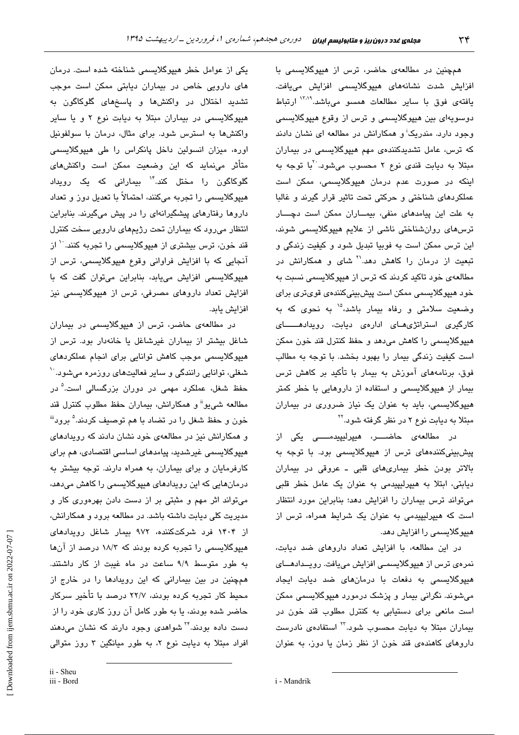همچنین در مطالعهی حاضر، ترس از هیپوگلایسمی با افزايش شدت نشانههاى هيپوگلايسمى افزايش مىيافت. یافتهی فوق با سایر مطالعات همسو میباشد.<sup>۱۳٬۱۹</sup> ارتباط دوسویهای بین هیپوگلایسمی و ترس از وقوع هیپوگلایسمی وجود دارد. مندریک<sup>:</sup> و همکارانش در مطالعه ای نشان دادند که ترس، عامل تشدیدکنندهی مهم هیپوگلایسمی در بیماران مبتلا به دیابت قندی نوع ۲ محسوب میشود. آبا توجه به اینکه در صورت عدم درمان هیپوگلایسمی، ممکن است عملکردهای شناختی و حرکتی تحت تاثیر قرار گیرند و غالبا به علت این پیامدهای منفی، بیماران ممکن است دچسار ترسهای روانشناختی ناشی از علایم هیپوگلایسمی شوند، این ترس ممکن است به فوبیا تبدیل شود و کیفیت زندگی و تبعیت از درمان را کاهش دهد.<sup>۲۱</sup> شای و همکارانش در مطالعهی خود تاکید کردند که ترس از هیپوگلایسمی نسبت به خود هیپوگلایسمی ممکن است پیشبینیکنندهی قویتری برای وضعیت سلامتی و رفاه بیمار باشد،<sup>۱۵</sup> به نحوی که به کارگیری استراتژی های ادارهی دیابت، رویدادهــــــای هيپوگلايسمي را کاهش مي دهد و حفظ کنترل قند خون ممکن است کیفیت زندگی بیمار را بهبود بخشد. با توجه به مطالب فوق، برنامههای آموزش به بیمار با تأکید بر کاهش ترس بیمار از هیپوگلایسمی و استفاده از داروهایی با خطر کمتر هیپوگلایسمی، باید به عنوان یک نیاز ضروری در بیماران مبتلا به دیابت نوع ۲ در نظر گرفته شود.<sup>۲۲</sup>

در مطالعهی حاضــــر، هیپرلیپیدمـــــی یکی از پیشبینیکنندههای ترس از هیپوگلایسمی بود. با توجه به بالاتر بودن خطر بیماریهای قلبی ـ عروقی در بیماران دیابتی، ابتلا به هیپرلیپیدمی به عنوان یک عامل خطر قلبی میتواند ترس بیماران را افزایش دهد؛ بنابراین مورد انتظار است که هیپرلیپیدمی به عنوان یک شرایط همراه، ترس از هیپوگلایسمی را افزایش دهد.

در این مطالعه، با افزایش تعداد داروهای ضد دیابت، نمرەی ترس از ھیپوگلایسمے افزایش میبافت. روپــدادھــای هیپوگلایسمی به دفعات با درمانهای ضد دیابت ایجاد میشوند. نگرانی بیمار و پزشک درمورد هیپوگلایسمی ممکن است مانعی برای دستیابی به کنترل مطلوب قند خون در بیماران مبتلا به دیابت محسوب شود. ۳ استفادهی نادرست داروهای کاهندهی قند خون از نظر زمان یا دوز، به عنوان

یکی از عوامل خطر هیپوگلایسمی شناخته شده است. درمان های دارویی خاص در بیماران دیابتی ممکن است موجب تشدید اختلال در واکنشها و پاسخهای گلوکاگون به هیپوگلایسمی در بیماران مبتلا به دیابت نوع ۲ و یا سایر واکنشها به استرس شود. برای مثال، درمان با سولفونیل اورہ، میزان انسولین داخل پانکراس را طی هیوگلاسیمی متأثر مینماید که این وضعیت ممکن است واکنشهای گلوکاگون را مختل کند.<sup>۱۴</sup> بیمارانی که یک رویدا*د* هبیوگلاسیمی را تجربه میکنند، احتمالاً با تعدیل دورز و تعداد داروها رفتارهای پیشگیرانهای را در پیش میگیرند. بنابراین انتظار میرود که بیماران تحت رژیمهای دارویی سخت کنترل قند خون، ترس بیشتری از هیپوگلایسمی را تجربه کنند. `` از آنجایی که با افزایش فراوانی وقوع هیپوگلایسمی، ترس از هیپوگلایسمی افزایش مییابد، بنابراین میتوان گفت که با افزایش تعداد داروهای مصرفی، ترس از هیپوگلایسمی نیز افزايش يابد.

در مطالعهی حاضر، ترس از هیپوگلایسمی در بیماران شاغل بیشتر از بیماران غیرشاغل یا خانهدار بود. ترس از هیپوگلایسمی موجب کاهش توانایی برای انجام عملکردهای شغلی، توانایی رانندگی و سایر فعالیتهای روزمره میشود.<sup>۱۰</sup> حفظ شغل، عملکرد مهمی در دوران بزرگسالی است.<sup>۵</sup> در مطالعه شی.یو<sup>ة</sup> و همکارانش، بیماران حفظ مطلوب کنترل قند خون و حفظ شغل را در تضاد با هم توصيف كردند.<sup>۵</sup> برود<sup>ة</sup> و همکارانش نیز در مطالعهی خود نشان دادند که رویدادهای ھیپوگلایسمی غیرشدید، پیامدھای اساسی اقتصادی، ھم برای کارفرمایان و برای بیماران، به همراه دارند. توجه بیشتر به درمانهایی که این رویدادهای هیپوگلایسمی را کاهش میدهد، میتواند اثر مهم و مثبتی بر از دست دادن بهرهوری کار و مدیریت کلی دیابت داشته باشد. در مطالعه برود و همکارانش، از ۱۴۰۴ فرد شرکتکننده، ۹۷۲ بیمار شاغل رویدادهای هیپوگلایسمی را تجربه کرده بودند که ۱۸/۳ درصد از آنها به طور متوسط ۹/۹ ساعت در ماه غیبت از کار داشتند. همچنین در بین بیمارانی که این رویدادها را در خارج از محیط کار تجربه کرده بودند، ۲۲/۷ درصد با تأخیر سرکار حاضر شده بودند، یا به طور کامل آن روز کاری خود را از دست داده بودند.<sup>۲۴</sup> شوا*هدی* وجود دارند که نشان می،دهند افراد مبتلا به دیابت نوع ۲، به طور میانگین ۳ روز متوالی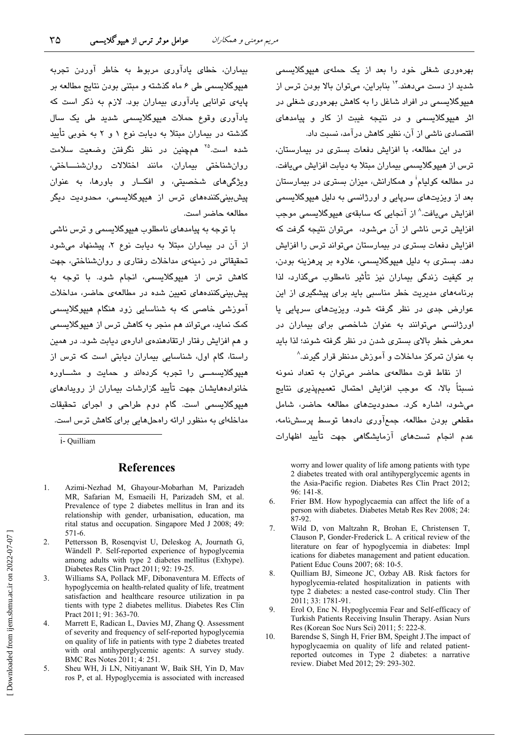بهرهوری شغلی خود را بعد از یک حملهی هیپوگلایسمی شدید از دست میدهند."` بنابراین، میتوان بالا بودن ترس از هدیوگلابستمی در افراد شاغل را به کاهش بهرهوری شغلی در اثر هیپوگلایسمی و در نتیجه غیبت از کار و پیامدهای اقتصادی ناشی از آن، نظیر کاهش در آمد، نسبت داد.

در این مطالعه، یا افزایش دفعات بستری در بیمارستان، ترس از هیپوگلایسمی بیماران مبتلا به دیابت افزایش مییافت. در مطالعه کولیام<sup>i</sup> و همکارانش، میزان بستری در بیمارستان بعد از ویزیتهای سریایی و اورژانسی به دلیل هیوگلاسیمی افزايش مي يافت.<sup>^</sup> از آنجايي كه سابقهي هيپوگلايسمي موجب افزایش ترس ناشی از آن میشود، میتوان نتیجه گرفت که افزایش دفعات بستری در بیمارستان می تواند ترس را افزایش دهد. بستری به دلیل هیپوگلایسمی، علاوه بر پرهزینه بودن، بر کيفيت زندگي بيماران نيز تأثير نامطلوب ميگذارد، لذا برنامههای مدیریت خطر مناسبی باید برای پیشگیری از این عوارض جدی در نظر گرفته شود. ویزیتهای سریایی یا اورژانسی می توانند به عنوان شاخصی برای بیماران در معرض خطر پالای بستری شدن در نظر گرفته شوند؛ لذا پاید به عنوان تمرکز مداخلات و آموزش مدنظر قرار گیرند.^

از نقاط قوت مطالعهى حاضر مى توان به تعداد نمونه نسبتاً بالا، که موجب افزایش احتمال تعمیمیذیری نتایج می شود، اشاره کرد. محدودیتهای مطالعه حاضر، شامل مقطعی بودن مطالعه، جمعآوری دادهها توسط پرسشنامه، عدم انجام تستهای آزمایشگاهی جهت تأیید اظهارات

worry and lower quality of life among patients with type 2 diabetes treated with oral antihyperglycemic agents in the Asia-Pacific region. Diabetes Res Clin Pract 2012;  $96:141-8$ 

- Frier BM. How hypoglycaemia can affect the life of a 6. person with diabetes. Diabetes Metab Res Rev 2008; 24:  $87-92.$
- $7.$ Wild D, von Maltzahn R, Brohan E, Christensen T, Clauson P, Gonder-Frederick L. A critical review of the literature on fear of hypoglycemia in diabetes: Impl ications for diabetes management and patient education. Patient Educ Couns 2007; 68: 10-5.
- 8. Quilliam BJ, Simeone JC, Ozbay AB. Risk factors for hypoglycemia-related hospitalization in patients with type 2 diabetes: a nested case-control study. Clin Ther 2011; 33: 1781-91.
- $\Omega$ Erol O, Enc N. Hypoglycemia Fear and Self-efficacy of Turkish Patients Receiving Insulin Therapy. Asian Nurs Res (Korean Soc Nurs Sci) 2011; 5: 222-8.
- $10.$ Barendse S, Singh H, Frier BM, Speight J. The impact of hypoglycaemia on quality of life and related patientreported outcomes in Type 2 diabetes: a narrative review. Diabet Med 2012; 29: 293-302.

بیماران، خطای یادآوری مربوط به خاطر آوردن تجربه هیپوگلایسمی طی ۶ ماه گذشته و مبتنی بودن نتایج مطالعه بر یابهی توانایی بادآوری بیماران بود. لازم به ذکر است که یادآوری وقوع حملات هیپوگلایسمی شدید طی یک سال گذشته در بیماران مبتلا به دیابت نوع ۱ و ۲ به خوبی تأیید شده است.<sup>۲۵</sup> همچنین در نظر نگرفتن وضعیت سلامت روان شناختی بیماران، مانند اختلالات روان شنساختی، ویژگیهای شخصیتی، و افکــار و باورها، به عنوان یش،پیشکنندهای ترس از هیپوگلایسمی، محدودیت دیگر مطالعه حاضر است.

با توجه به پیامدهای نامطلوب هبیوگلایسمی و ترس ناشی از آن در بیماران میتلا به دیابت نوع ۲، پیشنهاد می شود تحقیقاتی در زمینهی مداخلات رفتاری و روانشناختی، جهت کاهش ترس از هیپوگلایسمی، انجام شود. با توجه به یش سنے کنندہھای تعسن شدہ در مطالعهی حاضر، مداخلات آموزشی خاصی که به شناسایی زود هنگام هیپوگلایسمی کمک نماید، می تواند هم منجر به کاهش ترس از هیپوگلایسمی و هم افزایش رفتار ارتقادهندهی ادارهی دیابت شود. در همین راستا، گام اول، شناسایی بیماران دیابتی است که ترس از هیپوگلایسمــی را تجربه کردهاند و حمایت و مشــاوره خانوادههایشان جهت تأیید گزارشات بیماران از رویدادهای هیپوگلایسمی است. گام دوم طراحی و اجرای تحقیقات مداخلهای به منظور ارائه راهحلهایی برای کاهش ترس است.

i- Quilliam

#### **References**

- Azimi-Nezhad M. Ghayour-Mobarhan M. Parizadeh  $\mathbf{1}$ MR, Safarian M, Esmaeili H, Parizadeh SM, et al. Prevalence of type 2 diabetes mellitus in Iran and its relationship with gender, urbanisation, education, ma rital status and occupation. Singapore Med J 2008; 49: 571-6
- $\mathcal{L}$ Pettersson B, Rosenqvist U, Deleskog A, Journath G, Wändell P. Self-reported experience of hypoglycemia among adults with type 2 diabetes mellitus (Exhype). Diabetes Res Clin Pract 2011; 92: 19-25.
- $\overline{3}$ . Williams SA, Pollack MF, Dibonaventura M. Effects of hypoglycemia on health-related quality of life, treatment satisfaction and healthcare resource utilization in pa tients with type 2 diabetes mellitus. Diabetes Res Clin Pract 2011; 91: 363-70.
- $\overline{4}$ Marrett E, Radican L, Davies MJ, Zhang Q. Assessment of severity and frequency of self-reported hypoglycemia on quality of life in patients with type 2 diabetes treated with oral antihyperglycemic agents: A survey study. BMC Res Notes 2011; 4: 251.
- 5. Sheu WH, Ji LN, Nitiyanant W, Baik SH, Yin D, Mav ros P, et al. Hypoglycemia is associated with increased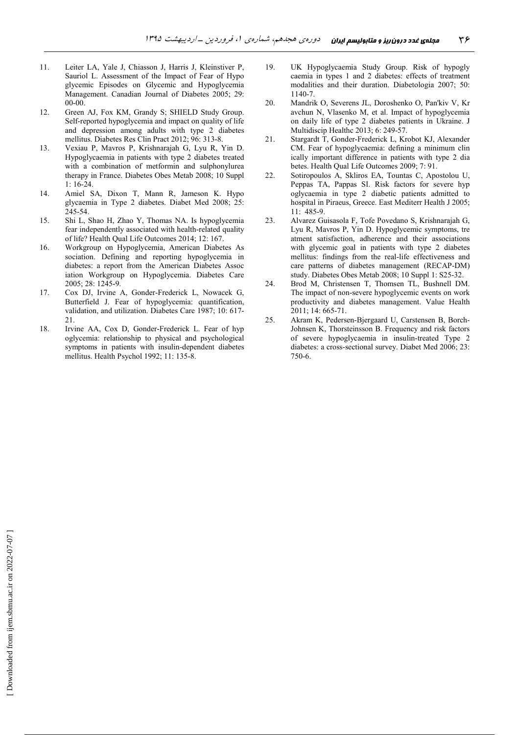- $11$ Leiter LA, Yale J, Chiasson J, Harris J, Kleinstiver P, Sauriol L. Assessment of the Impact of Fear of Hypo glycemic Episodes on Glycemic and Hypoglycemia Management. Canadian Journal of Diabetes 2005; 29:  $00-00$
- 12. Green AJ, Fox KM, Grandy S; SHIELD Study Group. Self-reported hypoglycemia and impact on quality of life and depression among adults with type 2 diabetes mellitus. Diabetes Res Clin Pract 2012; 96: 313-8.
- Vexiau P, Mavros P, Krishnarajah G, Lyu R, Yin D. 13. Hypoglycaemia in patients with type 2 diabetes treated with a combination of metformin and sulphonylurea therapy in France. Diabetes Obes Metab 2008; 10 Suppl  $1:16-24.$
- 14. Amiel SA, Dixon T, Mann R, Jameson K. Hypo glycaemia in Type 2 diabetes. Diabet Med 2008; 25: 245-54
- 15. Shi L, Shao H, Zhao Y, Thomas NA. Is hypoglycemia fear independently associated with health-related quality of life? Health Qual Life Outcomes 2014; 12: 167.
- 16. Workgroup on Hypoglycemia, American Diabetes As sociation. Defining and reporting hypoglycemia in diabetes: a report from the American Diabetes Assoc iation Workgroup on Hypoglycemia. Diabetes Care 2005; 28: 1245-9.
- 17. Cox DJ, Irvine A, Gonder-Frederick L, Nowacek G, Butterfield J. Fear of hypoglycemia: quantification, validation, and utilization. Diabetes Care 1987; 10: 617-21.
- 18. Irvine AA, Cox D, Gonder-Frederick L. Fear of hyp oglycemia: relationship to physical and psychological symptoms in patients with insulin-dependent diabetes mellitus. Health Psychol 1992; 11: 135-8.
- UK Hypoglycaemia Study Group. Risk of hypogly 19 caemia in types 1 and 2 diabetes: effects of treatment modalities and their duration. Diabetologia 2007; 50:  $1140 - 7$
- 20. Mandrik O, Severens JL, Doroshenko O, Pan'kiv V, Kr avchun N, Vlasenko M, et al. Impact of hypoglycemia on daily life of type 2 diabetes patients in Ukraine. J Multidiscip Healthc 2013; 6: 249-57.
- Stargardt T, Gonder-Frederick L, Krobot KJ, Alexander  $21.$ CM. Fear of hypoglycaemia: defining a minimum clin ically important difference in patients with type 2 dia betes. Health Qual Life Outcomes 2009; 7: 91.
- 22. Sotiropoulos A, Skliros EA, Tountas C, Apostolou U, Peppas TA, Pappas SI. Risk factors for severe hyp oglycaemia in type 2 diabetic patients admitted to hospital in Piraeus, Greece. East Mediterr Health J 2005;  $11:485-9.$
- 23. Alvarez Guisasola F, Tofe Povedano S, Krishnarajah G, Lyu R, Mavros P, Yin D. Hypoglycemic symptoms, tre atment satisfaction, adherence and their associations with glycemic goal in patients with type 2 diabetes mellitus: findings from the real-life effectiveness and care patterns of diabetes management (RECAP-DM) study. Diabetes Obes Metab 2008; 10 Suppl 1: S25-32.
- 24. Brod M, Christensen T, Thomsen TL, Bushnell DM. The impact of non-severe hypoglycemic events on work productivity and diabetes management. Value Health 2011; 14: 665-71.
- 25. Akram K, Pedersen-Bjergaard U, Carstensen B, Borch-Johnsen K, Thorsteinsson B. Frequency and risk factors of severe hypoglycaemia in insulin-treated Type 2 diabetes: a cross-sectional survey. Diabet Med 2006; 23:  $750-6$